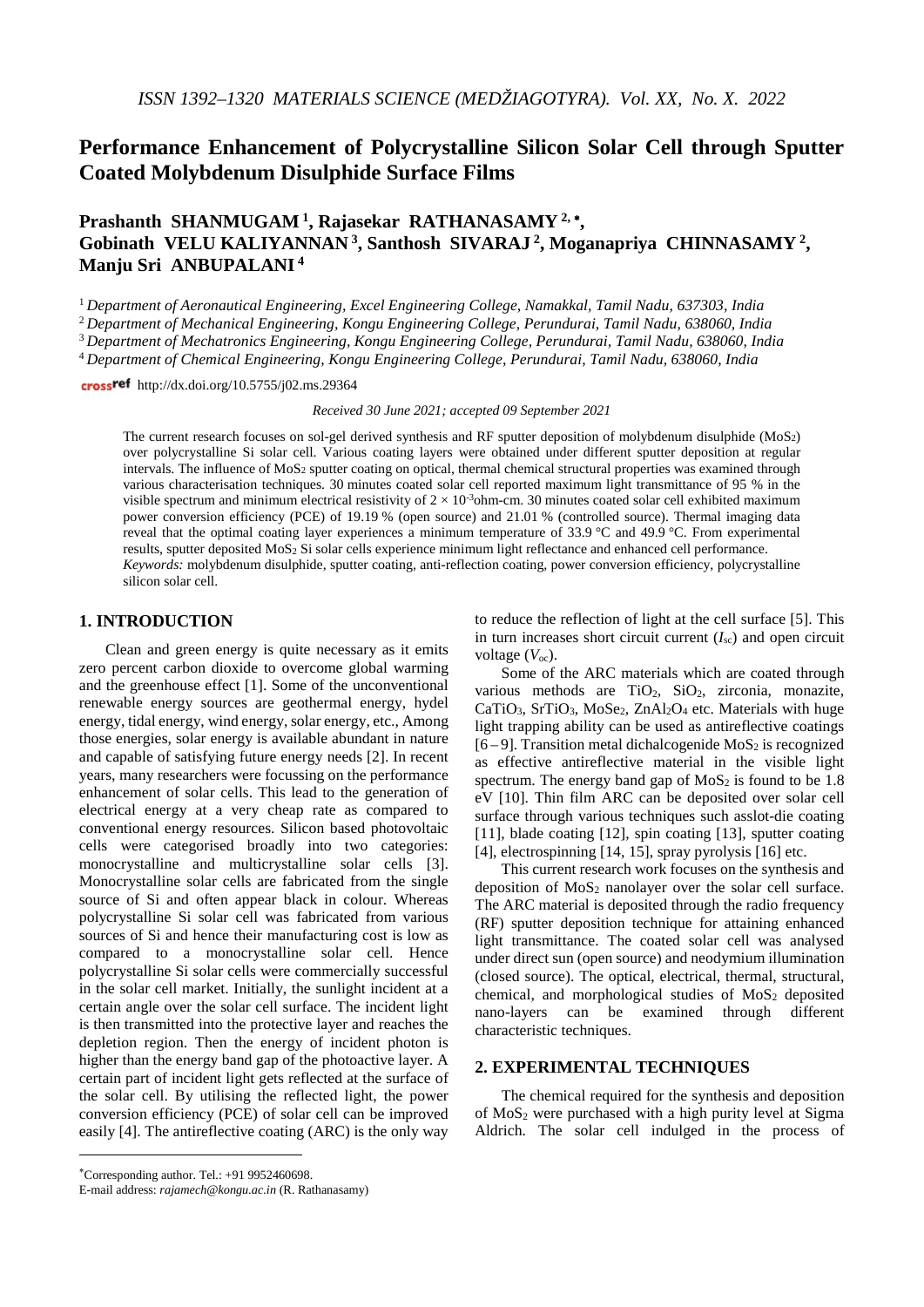# **Performance Enhancement of Polycrystalline Silicon Solar Cell through Sputter Coated Molybdenum Disulphide Surface Films**

**Prashanth SHANMUGAM 1, Rajasekar RATHANASAMY 2,** <sup>∗</sup>**, Gobinath VELU KALIYANNAN 3, Santhosh SIVARAJ 2, Moganapriya CHINNASAMY 2, Manju Sri ANBUPALANI <sup>4</sup>**

<sup>1</sup> *Department of Aeronautical Engineering, Excel Engineering College, Namakkal, Tamil Nadu, 637303, India*

<sup>2</sup> *Department of Mechanical Engineering, Kongu Engineering College, Perundurai, Tamil Nadu, 638060, India*

<sup>3</sup> *Department of Mechatronics Engineering, Kongu Engineering College, Perundurai, Tamil Nadu, 638060, India*

<sup>4</sup> *Department of Chemical Engineering, Kongu Engineering College, Perundurai, Tamil Nadu, 638060, India*

crossref http://dx.doi.org/10.5755/j02.ms.29364

#### *Received 30 June 2021; accepted 09 September 2021*

The current research focuses on sol-gel derived synthesis and RF sputter deposition of molybdenum disulphide  $(MoS<sub>2</sub>)$ over polycrystalline Si solar cell. Various coating layers were obtained under different sputter deposition at regular intervals. The influence of MoS2 sputter coating on optical, thermal chemical structural properties was examined through various characterisation techniques. 30 minutes coated solar cell reported maximum light transmittance of 95 % in the visible spectrum and minimum electrical resistivity of  $2 \times 10^{-3}$ ohm-cm. 30 minutes coated solar cell exhibited maximum power conversion efficiency (PCE) of 19.19 % (open source) and 21.01 % (controlled source). Thermal imaging data reveal that the optimal coating layer experiences a minimum temperature of 33.9 °C and 49.9 °C. From experimental results, sputter deposited MoS2 Si solar cells experience minimum light reflectance and enhanced cell performance. *Keywords:* molybdenum disulphide, sputter coating, anti-reflection coating, power conversion efficiency, polycrystalline silicon solar cell.

## **1. INTRODUCTION**[∗](#page-0-0)

Clean and green energy is quite necessary as it emits zero percent carbon dioxide to overcome global warming and the greenhouse effect [\[1\]](#page-5-0). Some of the unconventional renewable energy sources are geothermal energy, hydel energy, tidal energy, wind energy, solar energy, etc., Among those energies, solar energy is available abundant in nature and capable of satisfying future energy needs [\[2\]](#page-5-1). In recent years, many researchers were focussing on the performance enhancement of solar cells. This lead to the generation of electrical energy at a very cheap rate as compared to conventional energy resources. Silicon based photovoltaic cells were categorised broadly into two categories: monocrystalline and multicrystalline solar cells [\[3\]](#page-5-2). Monocrystalline solar cells are fabricated from the single source of Si and often appear black in colour. Whereas polycrystalline Si solar cell was fabricated from various sources of Si and hence their manufacturing cost is low as compared to a monocrystalline solar cell. Hence polycrystalline Si solar cells were commercially successful in the solar cell market. Initially, the sunlight incident at a certain angle over the solar cell surface. The incident light is then transmitted into the protective layer and reaches the depletion region. Then the energy of incident photon is higher than the energy band gap of the photoactive layer. A certain part of incident light gets reflected at the surface of the solar cell. By utilising the reflected light, the power conversion efficiency (PCE) of solar cell can be improved easily [\[4\]](#page-5-3). The antireflective coating (ARC) is the only way to reduce the reflection of light at the cell surface [\[5\]](#page-5-4). This in turn increases short circuit current  $(I_{\rm sc})$  and open circuit voltage ( $V_{\infty}$ ).

Some of the ARC materials which are coated through various methods are TiO<sub>2</sub>, SiO<sub>2</sub>, zirconia, monazite, CaTiO<sub>3</sub>, SrTiO<sub>3</sub>, MoSe<sub>2</sub>, ZnAl<sub>2</sub>O<sub>4</sub> etc. Materials with huge light trapping ability can be used as antireflective coatings  $[6-9]$  $[6-9]$ . Transition metal dichalcogenide MoS<sub>2</sub> is recognized as effective antireflective material in the visible light spectrum. The energy band gap of  $MoS<sub>2</sub>$  is found to be 1.8 eV [\[10\]](#page-5-6). Thin film ARC can be deposited over solar cell surface through various techniques such asslot-die coating [\[11\]](#page-5-7), blade coating [\[12\]](#page-5-8), spin coating [\[13\]](#page-5-9), sputter coating [\[4\]](#page-5-3), electrospinning [\[14,](#page-6-0) [15\]](#page-6-1), spray pyrolysis [\[16\]](#page-6-2) etc.

This current research work focuses on the synthesis and deposition of  $MoS<sub>2</sub>$  nanolayer over the solar cell surface. The ARC material is deposited through the radio frequency (RF) sputter deposition technique for attaining enhanced light transmittance. The coated solar cell was analysed under direct sun (open source) and neodymium illumination (closed source). The optical, electrical, thermal, structural, chemical, and morphological studies of  $MoS<sub>2</sub>$  deposited nano-layers can be examined through different examined through different characteristic techniques.

# **2. EXPERIMENTAL TECHNIQUES**

The chemical required for the synthesis and deposition of  $MoS<sub>2</sub>$  were purchased with a high purity level at Sigma Aldrich. The solar cell indulged in the process of

<u>.</u>

<span id="page-0-0"></span><sup>∗</sup> Corresponding author. Tel.: +91 9952460698.

E-mail address: *rajamech@kongu.ac.in* (R. Rathanasamy)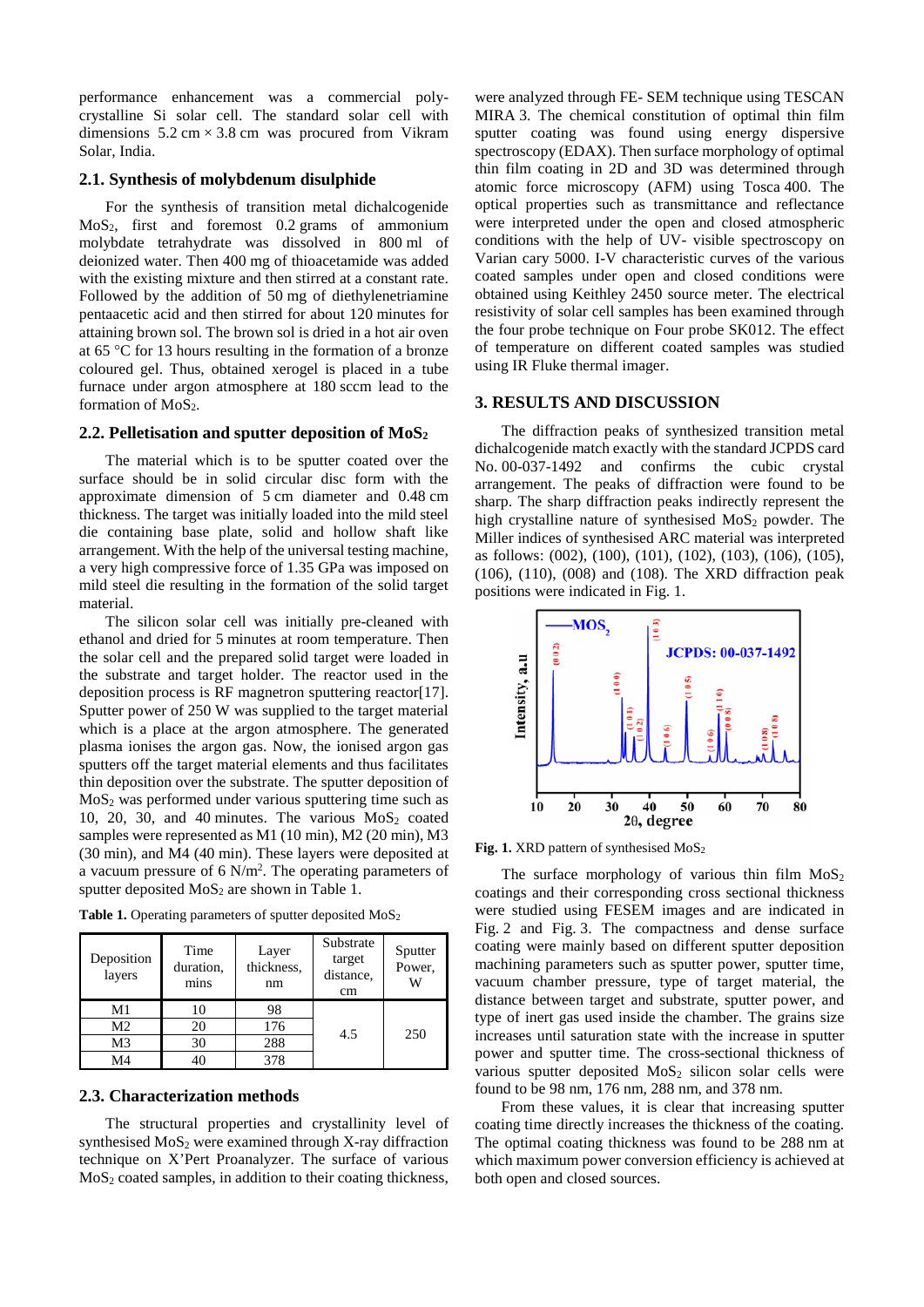performance enhancement was a commercial polycrystalline Si solar cell. The standard solar cell with dimensions  $5.2 \text{ cm} \times 3.8 \text{ cm}$  was procured from Vikram Solar, India.

# **2.1. Synthesis of molybdenum disulphide**

For the synthesis of transition metal dichalcogenide MoS2, first and foremost 0.2 grams of ammonium molybdate tetrahydrate was dissolved in 800 ml of deionized water. Then 400 mg of thioacetamide was added with the existing mixture and then stirred at a constant rate. Followed by the addition of 50 mg of diethylenetriamine pentaacetic acid and then stirred for about 120 minutes for attaining brown sol. The brown sol is dried in a hot air oven at 65 °C for 13 hours resulting in the formation of a bronze coloured gel. Thus, obtained xerogel is placed in a tube furnace under argon atmosphere at 180 sccm lead to the formation of  $MoS<sub>2</sub>$ .

# 2.2. Pelletisation and sputter deposition of MoS<sub>2</sub>

The material which is to be sputter coated over the surface should be in solid circular disc form with the approximate dimension of 5 cm diameter and 0.48 cm thickness. The target was initially loaded into the mild steel die containing base plate, solid and hollow shaft like arrangement. With the help of the universal testing machine, a very high compressive force of 1.35 GPa was imposed on mild steel die resulting in the formation of the solid target material.

The silicon solar cell was initially pre-cleaned with ethanol and dried for 5 minutes at room temperature. Then the solar cell and the prepared solid target were loaded in the substrate and target holder. The reactor used in the deposition process is RF magnetron sputtering reactor[\[17\]](#page-6-3). Sputter power of 250 W was supplied to the target material which is a place at the argon atmosphere. The generated plasma ionises the argon gas. Now, the ionised argon gas sputters off the target material elements and thus facilitates thin deposition over the substrate. The sputter deposition of  $MoS<sub>2</sub>$  was performed under various sputtering time such as 10, 20, 30, and 40 minutes. The various  $MoS<sub>2</sub>$  coated samples were represented as M1 (10 min), M2 (20 min), M3 (30 min), and M4 (40 min). These layers were deposited at a vacuum pressure of  $6 \text{ N/m}^2$ . The operating parameters of sputter deposited  $MoS<sub>2</sub>$  are shown in Table 1.

**Table 1.** Operating parameters of sputter deposited MoS<sub>2</sub>

| Deposition<br>layers | Time<br>duration,<br>mins | Layer<br>thickness,<br>nm | Substrate<br>target<br>distance.<br>cm | Sputter<br>Power,<br>w |
|----------------------|---------------------------|---------------------------|----------------------------------------|------------------------|
| M1                   | 10                        | 98                        | 4.5                                    | 250                    |
| M <sub>2</sub>       | 20                        | 176                       |                                        |                        |
| M3                   | 30                        | 288                       |                                        |                        |
|                      |                           |                           |                                        |                        |

#### **2.3. Characterization methods**

The structural properties and crystallinity level of synthesised  $MoS<sub>2</sub>$  were examined through X-ray diffraction technique on X'Pert Proanalyzer. The surface of various  $MoS<sub>2</sub> coated samples, in addition to their coating thickness,$ 

were analyzed through FE- SEM technique using TESCAN MIRA 3. The chemical constitution of optimal thin film sputter coating was found using energy dispersive spectroscopy (EDAX). Then surface morphology of optimal thin film coating in 2D and 3D was determined through atomic force microscopy (AFM) using Tosca 400. The optical properties such as transmittance and reflectance were interpreted under the open and closed atmospheric conditions with the help of UV- visible spectroscopy on Varian cary 5000. I-V characteristic curves of the various coated samples under open and closed conditions were obtained using Keithley 2450 source meter. The electrical resistivity of solar cell samples has been examined through the four probe technique on Four probe SK012. The effect of temperature on different coated samples was studied using IR Fluke thermal imager.

### **3. RESULTS AND DISCUSSION**

The diffraction peaks of synthesized transition metal dichalcogenide match exactly with the standard JCPDS card No. 00-037-1492 and confirms the cubic crystal arrangement. The peaks of diffraction were found to be sharp. The sharp diffraction peaks indirectly represent the high crystalline nature of synthesised  $MoS<sub>2</sub>$  powder. The Miller indices of synthesised ARC material was interpreted as follows: (002), (100), (101), (102), (103), (106), (105), (106), (110), (008) and (108). The XRD diffraction peak positions were indicated in Fig. 1.



**Fig. 1.** XRD pattern of synthesised MoS2

The surface morphology of various thin film  $MoS<sub>2</sub>$ coatings and their corresponding cross sectional thickness were studied using FESEM images and are indicated in Fig. 2 and Fig. 3. The compactness and dense surface coating were mainly based on different sputter deposition machining parameters such as sputter power, sputter time, vacuum chamber pressure, type of target material, the distance between target and substrate, sputter power, and type of inert gas used inside the chamber. The grains size increases until saturation state with the increase in sputter power and sputter time. The cross-sectional thickness of various sputter deposited  $MoS<sub>2</sub>$  silicon solar cells were found to be 98 nm, 176 nm, 288 nm, and 378 nm.

From these values, it is clear that increasing sputter coating time directly increases the thickness of the coating. The optimal coating thickness was found to be 288 nm at which maximum power conversion efficiency is achieved at both open and closed sources.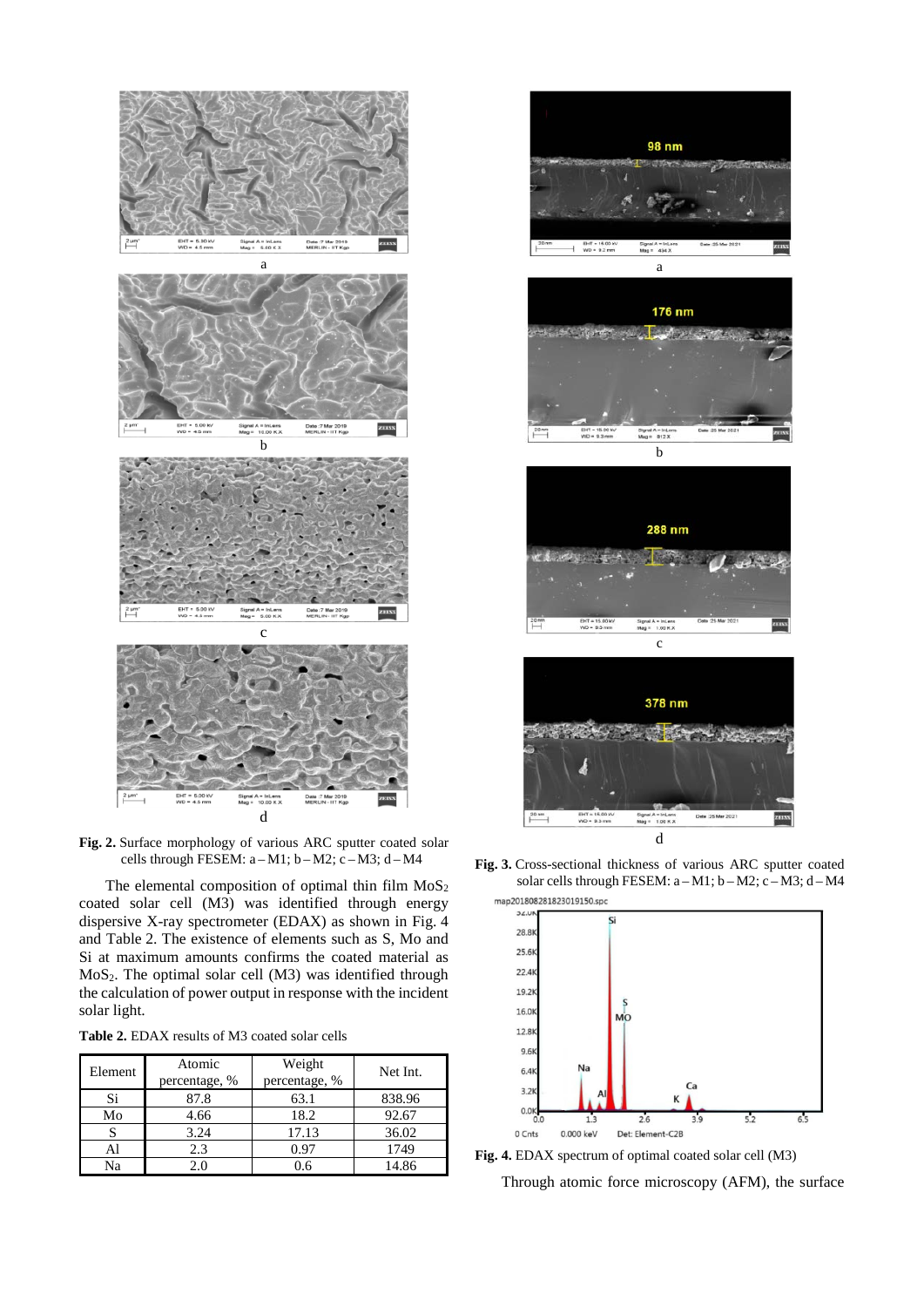

**Fig. 2.** Surface morphology of various ARC sputter coated solar cells through FESEM:  $a-M1$ ;  $b-M2$ ;  $c-M3$ ;  $d-M4$ 

The elemental composition of optimal thin film  $MoS<sub>2</sub>$ coated solar cell (M3) was identified through energy dispersive X-ray spectrometer (EDAX) as shown in Fig. 4 and Table 2. The existence of elements such as S, Mo and Si at maximum amounts confirms the coated material as MoS2. The optimal solar cell (M3) was identified through the calculation of power output in response with the incident solar light.

| <b>Table 2.</b> EDAX results of M3 coated solar cells |
|-------------------------------------------------------|
|-------------------------------------------------------|

| Element | Atomic<br>percentage, % | Weight<br>percentage, % | Net Int. |
|---------|-------------------------|-------------------------|----------|
| Si      | 87.8                    | 63.1                    | 838.96   |
| Mo      | 4.66                    | 18.2                    | 92.67    |
|         | 3.24                    | 17.13                   | 36.02    |
| Al      | 2.3                     | 0.97                    | 1749     |
| Na      | 2.0                     | 0.6                     | 14.86    |



**Fig. 3.** Cross-sectional thickness of various ARC sputter coated solar cells through FESEM: a - M1; b - M2; c - M3; d - M4 map201808281823019150.spc



**Fig. 4.** EDAX spectrum of optimal coated solar cell (M3)

Through atomic force microscopy (AFM), the surface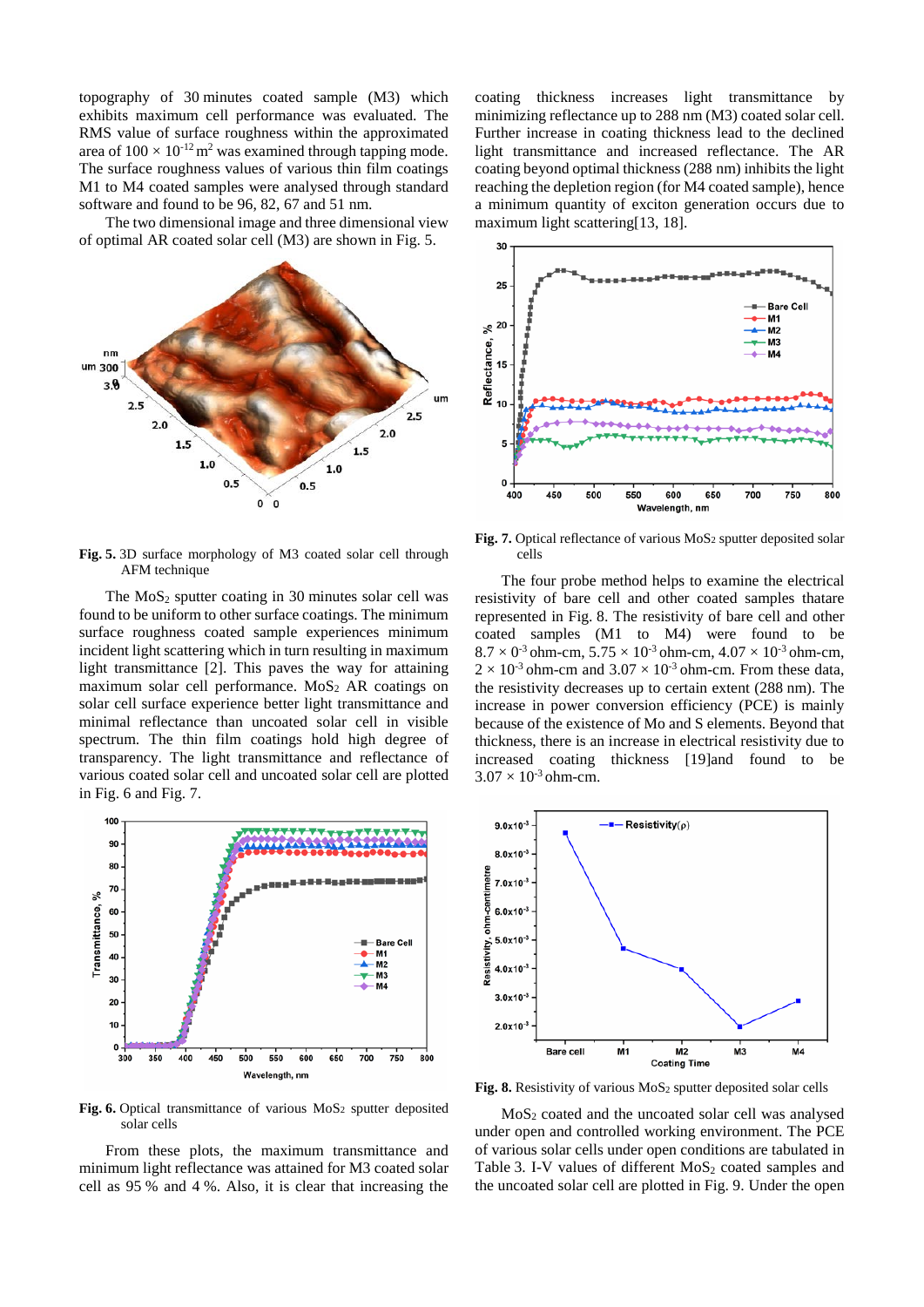topography of 30 minutes coated sample (M3) which exhibits maximum cell performance was evaluated. The RMS value of surface roughness within the approximated area of  $100 \times 10^{-12}$  m<sup>2</sup> was examined through tapping mode. The surface roughness values of various thin film coatings M1 to M4 coated samples were analysed through standard software and found to be 96, 82, 67 and 51 nm.

The two dimensional image and three dimensional view of optimal AR coated solar cell (M3) are shown in Fig. 5.



**Fig. 5.** 3D surface morphology of M3 coated solar cell through AFM technique

The  $MoS<sub>2</sub>$  sputter coating in 30 minutes solar cell was found to be uniform to other surface coatings. The minimum surface roughness coated sample experiences minimum incident light scattering which in turn resulting in maximum light transmittance [\[2\]](#page-5-1). This paves the way for attaining maximum solar cell performance.  $MoS<sub>2</sub> AR coatings on$ solar cell surface experience better light transmittance and minimal reflectance than uncoated solar cell in visible spectrum. The thin film coatings hold high degree of transparency. The light transmittance and reflectance of various coated solar cell and uncoated solar cell are plotted in Fig. 6 and Fig. 7.



Fig. 6. Optical transmittance of various MoS<sub>2</sub> sputter deposited solar cells

From these plots, the maximum transmittance and minimum light reflectance was attained for M3 coated solar cell as 95 % and 4 %. Also, it is clear that increasing the coating thickness increases light transmittance by minimizing reflectance up to 288 nm (M3) coated solar cell. Further increase in coating thickness lead to the declined light transmittance and increased reflectance. The AR coating beyond optimal thickness (288 nm) inhibits the light reaching the depletion region (for M4 coated sample), hence a minimum quantity of exciton generation occurs due to maximum light scattering[\[13,](#page-5-9) [18\]](#page-6-4).



Fig. 7. Optical reflectance of various MoS<sub>2</sub> sputter deposited solar cells

The four probe method helps to examine the electrical resistivity of bare cell and other coated samples thatare represented in Fig. 8. The resistivity of bare cell and other coated samples (M1 to M4) were found to be  $8.7 \times 0^3$  ohm-cm,  $5.75 \times 10^{3}$  ohm-cm,  $4.07 \times 10^{3}$  ohm-cm,  $2 \times 10^{-3}$  ohm-cm and  $3.07 \times 10^{-3}$  ohm-cm. From these data, the resistivity decreases up to certain extent (288 nm). The increase in power conversion efficiency (PCE) is mainly because of the existence of Mo and S elements. Beyond that thickness, there is an increase in electrical resistivity due to increased coating thickness [\[19\]](#page-6-5)and found to be  $3.07 \times 10^{-3}$  ohm-cm.



**Fig. 8.** Resistivity of various MoS<sub>2</sub> sputter deposited solar cells

 $MoS<sub>2</sub> coated and the uncoated solar cell was analysed$ under open and controlled working environment. The PCE of various solar cells under open conditions are tabulated in Table 3. I-V values of different  $MoS<sub>2</sub>$  coated samples and the uncoated solar cell are plotted in Fig. 9. Under the open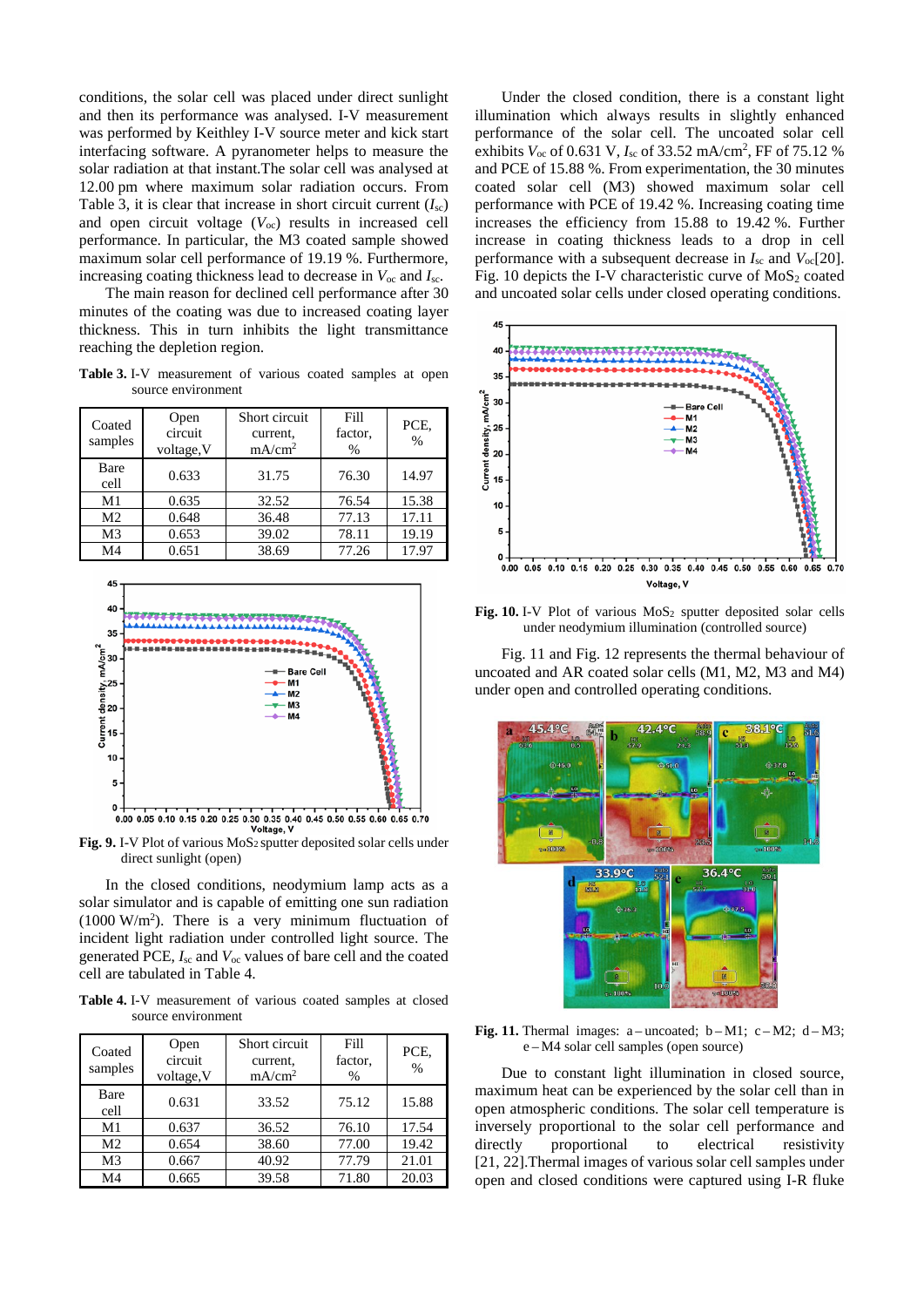conditions, the solar cell was placed under direct sunlight and then its performance was analysed. I-V measurement was performed by Keithley I-V source meter and kick start interfacing software. A pyranometer helps to measure the solar radiation at that instant.The solar cell was analysed at 12.00 pm where maximum solar radiation occurs. From Table 3, it is clear that increase in short circuit current  $(I_{\rm sc})$ and open circuit voltage (*V*oc) results in increased cell performance. In particular, the M3 coated sample showed maximum solar cell performance of 19.19 %. Furthermore, increasing coating thickness lead to decrease in *V*oc and *I*sc.

The main reason for declined cell performance after 30 minutes of the coating was due to increased coating layer thickness. This in turn inhibits the light transmittance reaching the depletion region.

**Table 3.** I-V measurement of various coated samples at open source environment

| Coated<br>samples | Open<br>circuit<br>voltage, V | Short circuit<br>current.<br>mA/cm <sup>2</sup> | Fill<br>factor,<br>$\frac{0}{0}$ | PCE,<br>$\%$ |
|-------------------|-------------------------------|-------------------------------------------------|----------------------------------|--------------|
| Bare<br>cell      | 0.633                         | 31.75                                           | 76.30                            | 14.97        |
| M1                | 0.635                         | 32.52                                           | 76.54                            | 15.38        |
| M <sub>2</sub>    | 0.648                         | 36.48                                           | 77.13                            | 17.11        |
| M <sub>3</sub>    | 0.653                         | 39.02                                           | 78.11                            | 19.19        |
| M4                | 0.651                         | 38.69                                           | 77.26                            | 17.97        |



Fig. 9. I-V Plot of various MoS<sub>2</sub> sputter deposited solar cells under direct sunlight (open)

In the closed conditions, neodymium lamp acts as a solar simulator and is capable of emitting one sun radiation  $(1000 \text{ W/m}^2)$ . There is a very minimum fluctuation of incident light radiation under controlled light source. The generated PCE,  $I_{\rm sc}$  and  $V_{\rm oc}$  values of bare cell and the coated cell are tabulated in Table 4.

**Table 4.** I-V measurement of various coated samples at closed source environment

| Coated<br>samples | Open<br>circuit<br>voltage, V | Short circuit<br>current.<br>mA/cm <sup>2</sup> | Fill<br>factor,<br>$\frac{0}{0}$ | PCE.<br>$\frac{0}{0}$ |
|-------------------|-------------------------------|-------------------------------------------------|----------------------------------|-----------------------|
| Bare<br>cell      | 0.631                         | 33.52                                           | 75.12                            | 15.88                 |
| M <sub>1</sub>    | 0.637                         | 36.52                                           | 76.10                            | 17.54                 |
| M <sub>2</sub>    | 0.654                         | 38.60                                           | 77.00                            | 19.42                 |
| M <sub>3</sub>    | 0.667                         | 40.92                                           | 77.79                            | 21.01                 |
| M4                | 0.665                         | 39.58                                           | 71.80                            | 20.03                 |

Under the closed condition, there is a constant light illumination which always results in slightly enhanced performance of the solar cell. The uncoated solar cell exhibits  $V_{\text{oc}}$  of 0.631 V,  $I_{\text{sc}}$  of 33.52 mA/cm<sup>2</sup>, FF of 75.12 % and PCE of 15.88 %. From experimentation, the 30 minutes coated solar cell (M3) showed maximum solar cell performance with PCE of 19.42 %. Increasing coating time increases the efficiency from 15.88 to 19.42 %. Further increase in coating thickness leads to a drop in cell performance with a subsequent decrease in  $I_{\rm sc}$  and  $V_{\rm oc}$ [\[20\]](#page-6-6). Fig. 10 depicts the I-V characteristic curve of  $MoS<sub>2</sub>$  coated and uncoated solar cells under closed operating conditions.



Fig. 10. I-V Plot of various MoS<sub>2</sub> sputter deposited solar cells under neodymium illumination (controlled source)

Fig. 11 and Fig. 12 represents the thermal behaviour of uncoated and AR coated solar cells (M1, M2, M3 and M4) under open and controlled operating conditions.



**Fig. 11.** Thermal images:  $a$  – uncoated;  $b$  – M1;  $c$  – M2;  $d$  – M3; e – M4 solar cell samples (open source)

Due to constant light illumination in closed source, maximum heat can be experienced by the solar cell than in open atmospheric conditions. The solar cell temperature is inversely proportional to the solar cell performance and directly proportional to electrical resistivity [\[21,](#page-6-7) [22\]](#page-6-8).Thermal images of various solar cell samples under open and closed conditions were captured using I-R fluke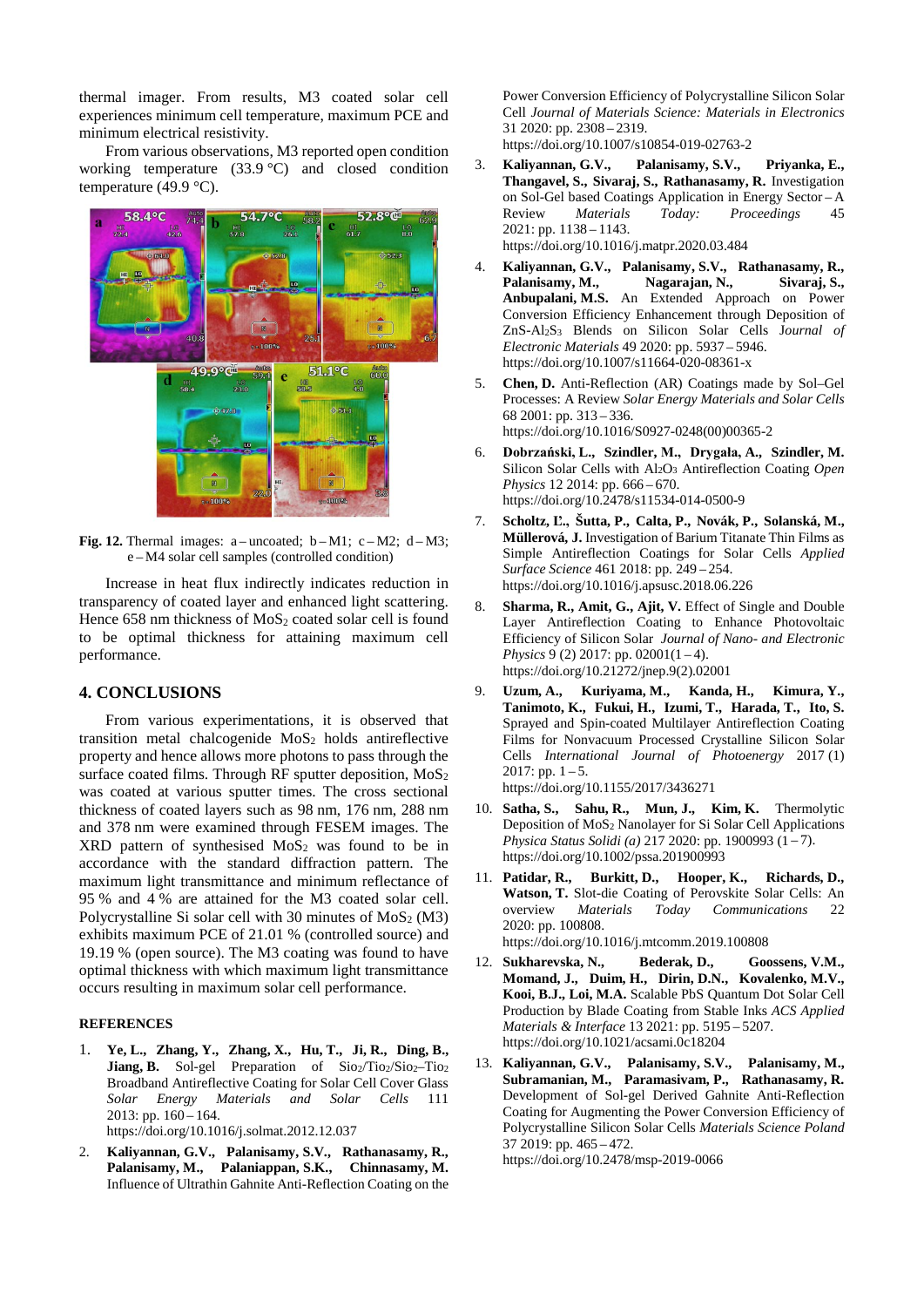thermal imager. From results, M3 coated solar cell experiences minimum cell temperature, maximum PCE and minimum electrical resistivity.

From various observations, M3 reported open condition working temperature  $(33.9 \degree C)$  and closed condition temperature (49.9  $\degree$ C).



**Fig. 12.** Thermal images:  $a$ -uncoated;  $b-M1$ ;  $c-M2$ ;  $d-M3$ ; e – M4 solar cell samples (controlled condition)

Increase in heat flux indirectly indicates reduction in transparency of coated layer and enhanced light scattering. Hence  $658$  nm thickness of  $MoS<sub>2</sub>$  coated solar cell is found to be optimal thickness for attaining maximum cell performance.

#### **4. CONCLUSIONS**

From various experimentations, it is observed that transition metal chalcogenide MoS<sub>2</sub> holds antireflective property and hence allows more photons to pass through the surface coated films. Through RF sputter deposition,  $MoS<sub>2</sub>$ was coated at various sputter times. The cross sectional thickness of coated layers such as 98 nm, 176 nm, 288 nm and 378 nm were examined through FESEM images. The  $XRD$  pattern of synthesised MoS<sub>2</sub> was found to be in accordance with the standard diffraction pattern. The maximum light transmittance and minimum reflectance of 95 % and 4 % are attained for the M3 coated solar cell. Polycrystalline Si solar cell with 30 minutes of  $MoS<sub>2</sub> (M3)$ exhibits maximum PCE of 21.01 % (controlled source) and 19.19 % (open source). The M3 coating was found to have optimal thickness with which maximum light transmittance occurs resulting in maximum solar cell performance.

#### **REFERENCES**

- <span id="page-5-0"></span>1. **Ye, L., Zhang, Y., Zhang, X., Hu, T., Ji, R., Ding, B., Jiang, B.** Sol-gel Preparation of Sio2/Tio2/Sio2-Tio2 Broadband Antireflective Coating for Solar Cell Cover Glass *Solar Energy Materials and Solar Cells* 111  $2013: pp. 160 - 164.$ https://doi.org/10.1016/j.solmat.2012.12.037
- <span id="page-5-1"></span>2. **Kaliyannan, G.V., Palanisamy, S.V., Rathanasamy, R., Palanisamy, M., Palaniappan, S.K., Chinnasamy, M.** Influence of Ultrathin Gahnite Anti-Reflection Coating on the

Power Conversion Efficiency of Polycrystalline Silicon Solar Cell *Journal of Materials Science: Materials in Electronics* 31 2020: pp. 2308 – 2319. https://doi.org/10.1007/s10854-019-02763-2

- <span id="page-5-2"></span>3. **Kaliyannan, G.V., Palanisamy, S.V., Priyanka, E., Thangavel, S., Sivaraj, S., Rathanasamy, R.** Investigation on Sol-Gel based Coatings Application in Energy Sector – A Review *Materials Today: Proceedings* 45 2021: pp. 1138 – 1143. https://doi.org/10.1016/j.matpr.2020.03.484
- <span id="page-5-3"></span>4. **Kaliyannan, G.V., Palanisamy, S.V., Rathanasamy, R.,**  Palanisamy, M., Nagarajan, N., Sivaraj, S., **Anbupalani, M.S.** An Extended Approach on Power Conversion Efficiency Enhancement through Deposition of ZnS-Al2S3 Blends on Silicon Solar Cells J*ournal of Electronic Materials* 49 2020: pp. 5937 – 5946. https://doi.org/10.1007/s11664-020-08361-x
- <span id="page-5-4"></span>5. **Chen, D.** Anti-Reflection (AR) Coatings made by Sol–Gel Processes: A Review *Solar Energy Materials and Solar Cells* 68 2001: pp. 313 – 336. https://doi.org/10.1016/S0927-0248(00)00365-2
- <span id="page-5-5"></span>6. **Dobrzański, L., Szindler, M., Drygała, A., Szindler, M.** Silicon Solar Cells with Al2O3 Antireflection Coating *Open Physics* 12 2014: pp. 666 – 670. https://doi.org/10.2478/s11534-014-0500-9
- 7. **Scholtz, Ľ., Šutta, P., Calta, P., Novák, P., Solanská, M., Müllerová, J.** Investigation of Barium Titanate Thin Films as Simple Antireflection Coatings for Solar Cells *Applied Surface Science* 461 2018: pp. 249 – 254. https://doi.org/10.1016/j.apsusc.2018.06.226
- 8. **Sharma, R., Amit, G., Ajit, V.** Effect of Single and Double Layer Antireflection Coating to Enhance Photovoltaic Efficiency of Silicon Solar *Journal of Nano- and Electronic Physics* 9 (2) 2017: pp. 02001(1-4). https://doi.org/10.21272/jnep.9(2).02001
- 9. **Uzum, A., Kuriyama, M., Kanda, H., Kimura, Y., Tanimoto, K., Fukui, H., Izumi, T., Harada, T., Ito, S.**  Sprayed and Spin-coated Multilayer Antireflection Coating Films for Nonvacuum Processed Crystalline Silicon Solar Cells *International Journal of Photoenergy* 2017 (1) 2017: pp.  $1 - 5$ . https://doi.org/10.1155/2017/3436271
- <span id="page-5-6"></span>10. **Satha, S., Sahu, R., Mun, J., Kim, K.** Thermolytic Deposition of MoS2 Nanolayer for Si Solar Cell Applications *Physica Status Solidi (a)* 217 2020: pp. 1900993 (1 – 7). https://doi.org/10.1002/pssa.201900993
- <span id="page-5-7"></span>11. **Patidar, R., Burkitt, D., Hooper, K., Richards, D., Watson, T.** Slot-die Coating of Perovskite Solar Cells: An overview *Materials Today Communications* 22 2020: pp. 100808. https://doi.org/10.1016/j.mtcomm.2019.100808
- <span id="page-5-8"></span>12. **Sukharevska, N., Bederak, D., Goossens, V.M., Momand, J., Duim, H., Dirin, D.N., Kovalenko, M.V., Kooi, B.J., Loi, M.A.** Scalable PbS Quantum Dot Solar Cell Production by Blade Coating from Stable Inks *ACS Applied Materials & Interface* 13 2021: pp. 5195 – 5207. <https://doi.org/10.1021/acsami.0c18204>
- <span id="page-5-9"></span>13. **Kaliyannan, G.V., Palanisamy, S.V., Palanisamy, M., Subramanian, M., Paramasivam, P., Rathanasamy, R.** Development of Sol-gel Derived Gahnite Anti-Reflection Coating for Augmenting the Power Conversion Efficiency of Polycrystalline Silicon Solar Cells *Materials Science Poland* 37 2019: pp. 465 – 472. https://doi.org/10.2478/msp-2019-0066